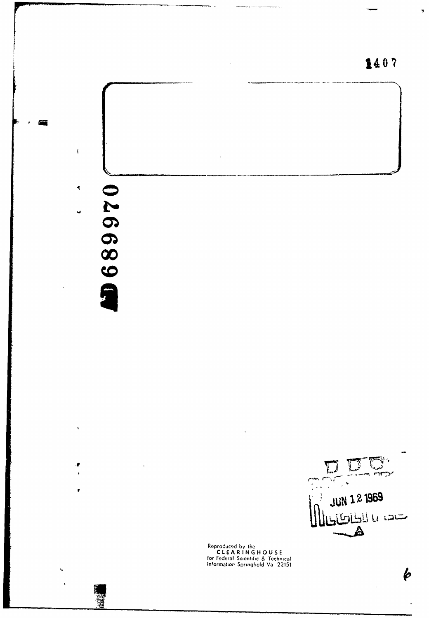

ستصديا للطائطاطا Reproduced by the<br>CLEARINGHOUSE<br>for Federal Scientific & Technical<br>Information Springfield Va 22151

 $\mathbb{D}$ 

 $\mathcal{L}$  $\ddot{\phantom{1}}$ 

JUN 1 2 1969

Δ

 $\eta$ 

 $\pmb{\phi}$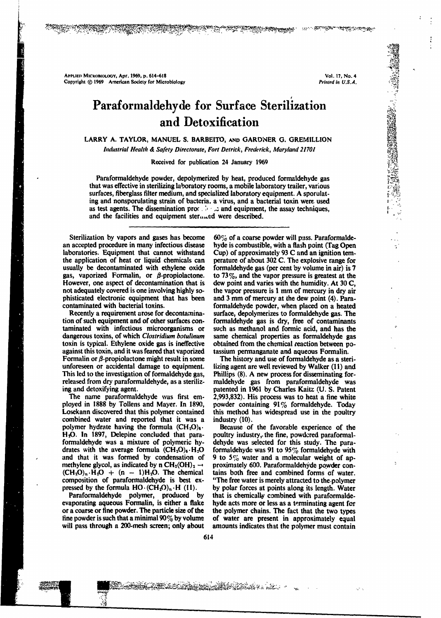**APPLIED MICROBIOLOGY, Apr. 1969, p. 614–618** Vol. 17, No. 4<br> **Copyright** © 1969 American Society for Microbiology Vol. 17, No. 4 Copyright  $@$  1969 American Society for Microbiology

**From Street** 

# Paraformaldehyde for Surface Sterilization and Detoxification

72.727

<u> DE DE STANDERS DE LA POLITIQUE DE LA POLITIQUE DE LA POLITIQUE DE LA POLITIQUE DE LA POLITIQUE DE LA POLITIQUE DE LA POLITIQUE DE LA POLITIQUE DE LA POLITIQUE DE LA POLITIQUE DE LA POLITIQUE DE LA POLITIQUE DE LA POLITIQ</u>

## LARRY A. TAYLOR, MANUEL S. BARBEITO, AND GARDINER G. GREMILLION

*Industrial Health & Safety Directorate, Fort Detrick, Frederick, Maryland 21701*

Received for publication 24 January 1969

Paraformaldehyde powder, depolymerized by heat, produced formaldehyde gas that was effective in sterilizing laboratory rooms, a mobile laboratory trailer, various surfaces, fiberglass filter medium, and specialized laboratory equipment. A sporulating and nonsporulating strain of bacteria, a virus, and a bacterial toxin were. used as test agents. The dissemination proves and equipment, the assay techniques, and the facilities and equipment ster $n =$ ed were described.

an accepted procedure in many infectious disease hyde is combustible, with a flash point (Tag Open laboratories. Equipment that cannot withstand Cup) of approximately 93 C and an ignition tem-<br>the application of heat or li the application of heat or liquid chemicals can perature of about 302 C. The explosive range for usually be decontaminated with ethylene oxide formaldehyde gas (per cent by volume in air) is 7 gas, vaporized Formalin, or  $\beta$ -propiolactone. to 73%, and the vapor pressure is greatest at the However, one aspect of decontamination that is dew point and varies with the humidity. At 30 C, not adequately covered is one involving highly so- the vapor pressure is **I** mm of mercury in dry air phisticated electronic equipment that has been and 3 mm of mercury at the dew point (4). Para-<br>contaminated with bacterial toxins.<br>formaldehyde powder, when placed on a heated

tion of such equipment and of other surfaces con- formaldehyde gas is dry, free of contaminants dangerous toxins, of which *Clostridium botulinum* toxin is typical. Ethylene oxide gas is ineffective obtained from the chemical reaction between po-<br>against this toxin, and it was feared that vaporized tassium permanganate and aqueous Formalin.<br>Formalin or  $\beta$ -propiola Formalin or  $\beta$ -propiolactone might result in some unforeseen or accidental damage to equipment. lizing agent are welt reviewed by Walker (11) and This led to the investigation of formaldehyde gas, Phillips (8). A new process for disseminating forreleased from dry paraformaldehyde, as a steriliz- maldehyde gas from paraformaldehyde was

ployed in 1888 by Tollens and Mayer. In 1890, powder containing 91% formaldehyde. Today Losekann discovered that this polymer contained this method has widespread use in the poultry combined water and reported that it was a industry (10). polymer hydrate having the formula  $(CH_2O)_6$ . Because of the favorable experience of the H<sub>2</sub>O. In 1897, Delepine concluded that para-<br>poultry industry, the fine, powdered paraformal-H<sub>2</sub>O. In 1897, Delepine concluded that para-<br>formalized for this study. The para-<br>formal ended was a mixture of polymeric hy-<br>dehyde was selected for this study. The paradrates with the average formula  $(CH_2O)_6 \cdot H_2O$  formaldehyde was 91 to 95% formaldehyde with and that it was formed by condensation of 9 to 5% water and a molecular weight of apmethylene glycol, as indicated by n CH<sub>2</sub>(OH)<sub>2</sub>  $\rightarrow$  proximately 600. Paraformaldehyde powder con-<br>(CH<sub>2</sub>O)<sub>n</sub> H<sub>2</sub>O + (n - 1)H<sub>2</sub>O. The chemical tains both free and combined forms of water.  $(CH_2O)_n \cdot H_2O + (n - 1)H_2O$ . The chemical tains both free and combined forms of water.<br>composition of paraformaldehyde is best ex-<br>"The free water is merely attracted to the polymer composition of paraformaldehyde is best ex-

evaporating aqueous Formalin, is either a flake hyde acts more or less as a terminating agent for or a coarse or fine powder. The particle size of the the polymer chains. The fact that the two types fine powder is such that a minimal  $90\%$  by volume of water are present in approximately equal will pass through a 200-mesh screen; only about amounts indicates that the polymer must contain  $614$ 

Sterilization by vapors and gases has become  $60\%$  of a coarse powder will pass. Paraformaldeformaldehyde gas (per cent by volume in air) is  $7$ formaldehyde powder, when placed on a heated Recently a requirement arose for decontamina- surface, depolymerizes to formaldehyde gas. The such as methanol and formic acid, and has the same chemical properties as formaldehyde gas

ing and detoxifying agent. patented in 1961 by Charles Kaitz (U. S. Patent The name paraformaldehyde was first em- 2,993,832). His process was to heat a fine white

9 to 5% water and a molecular weight of appressed by the formula  $HO \cdot (CH_2O)_n \cdot H$  (11). <br> by polar forces at points along its length. Water<br>Paraformaldehyde polymer, produced by that is chemically combined with paraformaldethat is chemically combined with paraformalde-

ATA MARKATAN SEKARA PROPERTY ANG PASA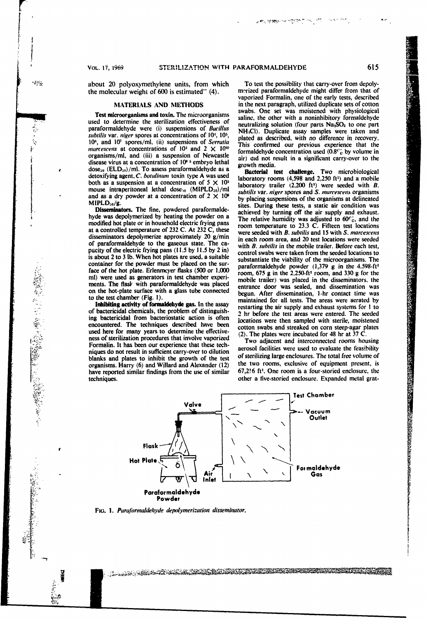*L*

.<br>پارلو

about 20 polyoxymethylene units, from which To test the possibility that carry-over from depoly-<br>the molecular weight of 600 is estimated'' (4). The merized paraformal delyde might differ from that of the molecular weight of  $600$  is estimated" (4).

used to determine the sterilization effectiveness of neutralizing solution (four parts Na<sub>2</sub>SO<sub>3</sub> to one part paraformaldehyde were (i) suspensions of *Bacillus* **NH<sub>1</sub>Cl**). Duplicate assay samples were taken and *subtilis* var. *niger* spores at concentrations of 10', **101,** plated as described, with no difference in recovery. 10<sup>6</sup>, and 10<sup>1</sup> spores/ml, (ii) suspensions of *Serratia in the placed* as described, with no directence in recovery. marcescens at concentrations of  $10^4$  and  $2 \times 10^{10}$  and  $2 \times 10^{10}$  fins communication used (0.8 $\degree$ % by volume in organisms/ml, and (iii) a suspension of Newcastle air) did not result in a significant carry-over to the disease virus at a concentration of 10<sup>8</sup> <sup>s</sup> embryo lethal growth media.  $\frac{\text{dose}_{30}}{\text{B}}$  (ELD<sub>30</sub>)/ml. To assess paraformaldehyde as a Bacterial test challenge. Two microbiological detoxifying agent, *C. botulinun* toxin type A was used laboratory rooms (4,598 and **2,250 ft')** and a mobile both as a suspension at a concentration of  $5 \times 10^5$  laboratory rooms (4,598 and 2,250 ft<sup>3</sup>) and a mobile both as a suspension at a concentration of  $5 \times 10^5$  laboratory trailer (2,200 ft<sup>3</sup>) were seeded with B. mouse intraperitoneal lethal dose<sub>10</sub> (MIPLD<sub>50</sub>)/ml *subtilisive riger spores and S. marrescens* organisms at a concentration of  $2 \times 10^8$  *subtilis var. niger spores and S. marrescens* organisms at delineated

at a controlled temperature of 232 C. At 232 C, these were seeded with *B. subtilis* and 15 with S. *marcescens* disseminators depolymerize approximately 20 g/min in each room area, and 20 test locations were seeded of paraformaldehyde to the gaseous state. The ca- with *B, subillis* in the mobile trailer. Before each test, pacity of the electric frying pans (11.5 by 11.5 by 2 in) control swabs were taken from the seeded locations to is about 2 to 3 lb. When hot plates are used, a suitable substantiate the viability of the microorganisms. The container for the powder must be placed on the sur-<br>paraformaldehyde powder (1,379 g in the 4.598-ft3<br>contained the highest contained fields of the 1,598-ft3 face of the hot plate. Erlenmeyer flasks (500 or 1,000  $r = 1000$  room, 675 g in the 2.250-ft<sup>3</sup> room, and 330 g for the ml) were used as generators in test chamber experi-<br>mobile trailer) was placed in the disseminators, the ments. The flast with paraformaldehyde was placed entrance door was sealed, and dissemination was

used here for many years to determine the effective-<br>(2). The plates were incubated for 48 hr at 37 C. ness of sterilization procedures that involve vaporized  $\frac{2\pi}{100}$  adjacent and interconnected rooms housing Formalin. It has been our experience that these techniques do not result in sufficient carry-over to dilution organisms. Harry (6) and Willard and Alexander (12)

vaporized Formalin, one of the early tests, described MATERIALS AND METHODS in the next paragraph, utilized duplicate sets of cotton swabs. One set was moistened with physiological Test microorganisms and toxin. The microorganisms saline, the other with a noninhibitory formaldehyde

which is a complete that the state of the state of the state of the state of the state of the state of the state of the state of the state of the state of the state of the state of the state of the state of the state of th

and as a dry powder at a concentration of  $2 \times 10^3$  by placing suspensions of the organisms at delineated<br>MIPLD<sub>30</sub>/g.<br>**Disseminators.** The fine, powdered paraformalde-<br>hyde was depolymerized by heating the powder on a<br>m on the hot-plate surface with a glass tube connected begun. After dissemination, 1-hr contact time was sensitely to the test chamber (Fig. 1). maintained for all tests. The areas were aerated by Inhibiting activity of formaldehyde gas. In the assay restarting the air supply and exhaust systems for 1 to of bactericidal chemicals, the problem of distinguish- 2 hr before the test areas were entered. The seeded ing bactericidal from bacteriostatic action is often locations were then sampled with sterile, moistened encountered. The techniques described have been cotton swabs and streaked on corn steep-agar plates

aerosol facilities were used to evaluate the feasibility blanks and plates to inhibit the growth of the test of sterilizing large enclosures. The total free volume of branchisms. Harry (6) and Willard and Alexander (12) the two rooms, exclusive of equipment present, is have reported similar findings from the use of similar 67,216 ft<sup>3</sup>. One room is a four-storied enclosure, the techniques. other a five-storied enclosure. Expanded metal grat-



**FIo. 1.** *Paraformaldehyde depolymeri:ation disseminator.*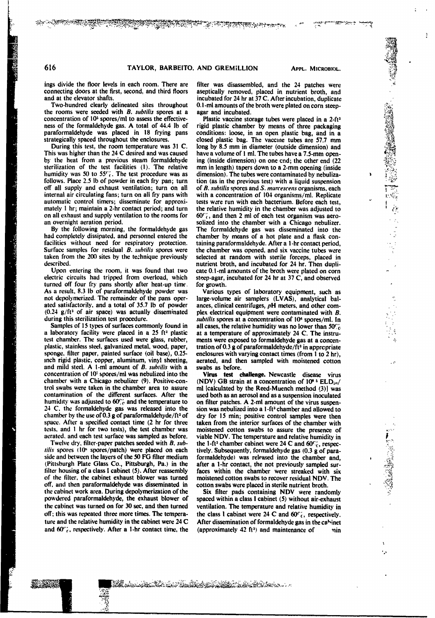**AND THE REPORT OF THE REAL PROPERTY** 

ings divide the floor levels in each room. There are filter was disassembled, and the 24 patches were connecting doors at the first, second, and third floors aseptically removed, placed in nutrient broth, and

**[4**

the rooms were seeded with *B.* subillis spores at a agar and incubated. concentration of 10<sup>5</sup> spores/ml to assess the effective-<br>ness of the formal end of 44.4 lb of rigid plastic chamber by means of three packaging paraformaldehyde was placed in 18 frying pans conditions: loose, in an open plastic bag, and in a strategically spaced throughout the enclosures. closed plastic bag. The vaccine tubes are 57.7 mm

This was higher than the 24 C desired and was caused have a volume of **I** ml. The tubes have a 7.5-mm open- **'** sterilization of the test facilities (1). The relative humidity was 50 to 55<sup>c-</sup><sub>i</sub>. The test procedure was as dimension). The tubes were contaminated by nebulizafollows. Place 2.5 lb of powder in each fry pan; turn tion (as in the previous test) with a liquid suspension of all supply and exhaust ventilation; turn on all of B, *subtilis* spores and S, *marcescens* organisms, each internal air circulating fans; turn on all fry pans with with a concentration of 104 organisms/ml. Replicate automatic control timers; disseminate for approxi-<br>tests were run with each bacterium. Before each test, automatic control timers; disseminate for approxi-<br>mately 1 hr; maintain a 2-hr contact period; and turn the relative humidity in the chamber was adjusted to mately 1 hr; maintain a 2-hr contact period; and turn on all exhaust and supply ventilation to the rooms for on all exhaust and supply ventilation to the rooms for  $60^\circ$ , and then 2 ml of each test organism was aero-<br>an overnight aeration period.<br>solized into the chamber with a Chicago nebulizer.

had completely dissipated, and personnel entered the chamber by means of a hot plate and a flask con-<br>facilities without need for respiratory protection. taining paraformaldehyde. After a 1-hr contact period, Surface samples for residual *B. subfifis* spores were the chamber was opened, and six vaccine tubes were taken from the 200 sites by the tezhnique previously selected at random with sterile forceps, placed in

electric circuits had tripped from overload, which steep-agar, incubated for 24 hr at 37 C, and observed turned off four fry pans shortly after heat-up time. for growth. As a result, 8.3 lb of paraformaldehyde powder was Various types of laboratory equipment, such as not depolymerized. The remainder of the pans oper- large-volume air samplers (LVAS), analytical balated satisfactorily, and a total of 35.7 lb of powder ances, clinical centrifuges, pH meters, and other com- $(0.24 \text{ g/ft}^3)$  of air space) was actually disseminated plex electrical equipment were contaminated with B.

a laboratory facility were placed in a 25 ft<sup>3</sup> plastic at a temperature of approximately 24 C. The instrutest chamber. The surfaces used were glass, rubber, ments were exposed to formaldehyde gas at a concenplastic, stainless steel, galvanized metal, wood, paper, tration of 0.3 g of paraformaldehyde/ft<sup>3</sup> in appropriate sponge, filter paper, painted surface (oil base), 0.25- enclosures with varying contact times (from **I** to 2 hr), inch rigid plastic, copper, aluminum, vinyl sheeting, aerated, and then sampled with moistened cotton and mild steel. A I-ml amount of *B. subtilis* with a swabs as before. concentration of 10<sup>*z*</sup> spores/ml was nebulized into the Virus test challenge. Newcastle disease virus chamber with a Chicago nebulizer (9). Positive-con- (NDV) GB strain at a concentration of 10<sup>8</sup> <sup>5</sup> ELD<sub>50</sub>/ trol swabs were taken in the chamber area to assure ml (calculated by the Reed-Muench method (3)] was contamination of the different surfaces. After the used both as an aerosol and as a suspension inoculated humidity was adjusted to  $60\%$  and the temperature to on filter patches. A 2-ml amount of the virus suspenhumidity was adjusted to  $60\%$  and the temperature to 24 C. the formaldehyde gas was released into the sion was nebulized into a 1-ft<sup>3</sup> chamber and allowed to chamber by the use of 0.3 g of paraformaldehyde/ft<sup>3</sup> of dry for 15 min; positive control samples were then space. After a specified contact time (2 hr for three taken from the interior surfaces of the chamber with tests, and **I** hr for two tests), the test chamber was moistened cotton swabs to assure the presence of

side and between the layers of the 50 FG filter medium formaldehyde) was released into the chamber and, (Pittsburgh Plate Glass Co., Pittsburgh, Pa.) in the after a 1-hr contact, the not previously sampled surfilter housing of a class I cabinet (5). After reassembly faces within the chamber were streaked with six of the filter, the cabinet exhaust blower was turned moistened cotton swabs to recover residual NDV. The off, and then paraformaldehyde was disseminated in cotton swabs were placed in sterile nutrient broth. the cabinet work area. During depolymerization of the Six filter pads containing NDV were randomly powdered paraformaldehyde, the exhaust blower of spaced within a class **I** cabinet (5) without air-exhaust the cabinet was turned on for 30 sec, and then turned ventilation. The temperature and relative humidity in off; this was repeated three more times. The tempera- the class **I** cabinet were 24 C and **60'j,** respectively. ture and the relative humidity in the cabinet were  $24$  C After dissemination of formaldehyde gas in the cahinet

X. dik

and at the elevator shafts.<br>Two-hundred clearly delineated sites throughout 0.1-ml amounts of the broth were plated on corn steep-<br>

**AND THE PERSONAL PROPERTY OF REAL PROPERTY AND** 

rigid plastic chamber by means of three packaging During this test, the room temperature was 31 C. long by 8.5 mm in diameter (outside dimension) and This was higher than the 24 C desired and was caused have a volume of 1 ml. The tubes have a 7.5-mm opening (inside dimension) on one end; the other end  $(22 \text{ mm in length})$  tapers down to a 2-mm opening (inside of *B. subtilis* spores and *S. marcescens* organisms, each solized into the chamber with a Chicago nebulizer. By the following morning, the formaldehyde gas The formaldehyde gas was disseminated into the taining paraformaldehyde. After a 1-hr contact period, nutrient broth, and incubated for 24 hr. Then dupli-Upon entering the room, it was found that two cate **0.1** -mi amounts of the broth were plated on corn

during this sterilization test procedure.<br>
Samples of 15 types of surfaces commonly found in all cases, the relative humidity was no lower than 50% all cases, the relative humidity was no lower than 50<sup>c</sup><sub>c</sub>

aerated, and each test surface was sampled as before. viable NDV. The temperature and relative humidity in Twelve dry, filter-paper patches seeded with *B*, *sub*-<br>the 1-ft<sup>3</sup> chamber cabinet were 24 C and 60%, respec-Twelve dry, filter-paper patches seeded with *B. sub-* the 1-ft<sup>3</sup> chamber cabinet were 24 C and  $60\%$ , respec-<br>tilis spores (10<sup>6</sup> spores/patch) were placed on each tively. Subsequently, formaldehyde gas (0.3 g of para-

and  $60\degree$ ; respectively. After a 1-hr contact time, the (approximately 42 ft<sup>3</sup>) and maintenance of  $\qquad$  nin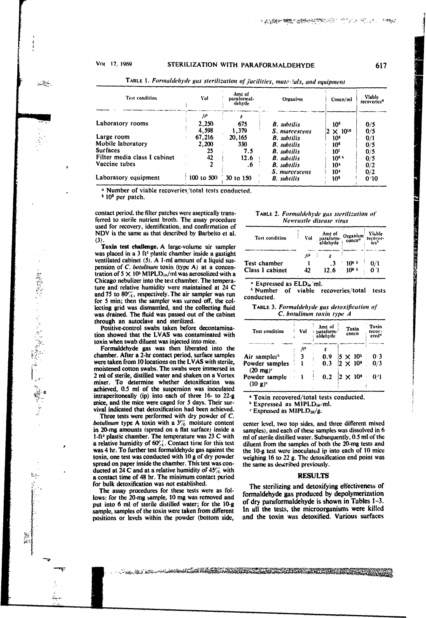### Vot 17, 1969

بموسير

· 義務管理によることを選

ia<br>R

# STERILIZATION WITH PARAFORMALDEHYDE

617

Little & L. C. C. C. C. C.

| Test condition               | Vol            | Amt of<br>paraformal-<br>dehyde | Organism            | Concn/ml           | Viable<br>recoveries <sup>a</sup> |
|------------------------------|----------------|---------------------------------|---------------------|--------------------|-----------------------------------|
| <b>Laboratory rooms</b>      | 71,<br>2,250   | 675                             | <b>B</b> . subtilis | 10 <sup>6</sup>    | 0/5                               |
|                              | 4.598          | 1.379                           | S. marcescens       | $2 \times 10^{10}$ | 0/5                               |
| Large room                   | 67,216         | 20.165                          | <b>B.</b> subtilis  | 10 <sup>5</sup>    | 0/1                               |
| Mobile laboratory            | 2,200          | 330                             | <b>B</b> . subtilis | 10 <sup>6</sup>    | 0/5                               |
| <b>Surfaces</b>              | 25             | 7.5                             | <b>B.</b> subtilis  | 10'                | 0/5                               |
| Filter media class I cabinet | 42             | 12.6                            | <b>B</b> . subtilis | 10 <sub>e</sub>    | 0/5                               |
| Vaccine tubes                |                | .6                              | <b>B.</b> subtilis  | 10+                | 0/2                               |
|                              |                |                                 | S. marcescens       | 10 <sup>4</sup>    | 0/2                               |
| Laboratory equipment         | $100$ to $500$ | 30 to 150                       | <b>B.</b> subtilis  | 10 <sup>6</sup>    | 0'10                              |

TABLE 1. Formaldehyde gas sterilization of facilities, materials, and equipment

<sup>a</sup> Number of viable recoveries/total tests conducted.

 $b$  10<sup>6</sup> per patch.

contact period, the filter patches were aseptically transferred to sterile nutrient broth. The assay procedure used for recovery, identification, and confirmation of NDV is the same as that described by Barbeito et al.  $(3)$ 

Toxin test challenge. A large-volume air sampler was placed in a 3 ft<sup>3</sup> plastic chamber inside a gastight ventilated cabinet (5). A 1-ml amount of a liquid suspension of C. botulinum toxin (type A) at a concentration of  $5 \times 10^5$  MIPLD<sub>50</sub>/ml was aerosolized with a Chicago nebulizer into the test chamber. The temperature and relative humidity were maintained at 24 C and 75 to  $80\%$ , respectively. The air sampler was run for 5 min; then the sampler was turned off, the collecting grid was dismantled, and the collecting fluid was drained. The fluid was passed out of the cabinet through an autoclave and sterilized.

Positive-control swabs taken before decontamination showed that the LVAS was contaminated with toxin when swab diluent was injected into mice.

Formaldehyde gas was then liberated into the chamber. After a 2-hr contact period, surface samples were taken from 10 locations on the LVAS with sterile, moistened cotton swabs. The swabs were immersed in 2 ml of sterile, distilled water and shaken on a Vortex mixer. To determine whether detoxification was achieved, 0.5 ml of the suspension was inoculated intraperitoneally (ip) into each of three 16- to 22-g mice, and the mice were caged for 5 days. Their survival indicated that detoxification had been achieved.

Three tests were performed with dry powder of C. *botulinum* type A toxin with a  $3\frac{7}{6}$  moisture content in 20-mg amounts (spread on a flat surface) inside a 1-ft<sup>3</sup> plastic chamber. The temperature was 23 C with a relative humidity of 60%. Contact time for this test was 4 hr. To further test formaldehyde gas against the toxin, one test was conducted with 10 g of dry powder spread on paper inside the chamber. This test was conducted at 24 C and at a relative humidity of  $45\%$  with a contact time of 48 hr. The minimum contact period for bulk detoxification was not established.

The assay procedures for these tests were as follows: for the 20-mg sample, 10 mg was removed and put into 6 ml of sterile distilled water; for the 10-g sample, samples of the toxin were taken from different positions or levels within the powder (bottom side,

### TABLE 2. Formaldehyde gas sterilization of Newcastle disease virus

|      |                       | Viable<br>recover-<br>ies <sup>6</sup> |  |
|------|-----------------------|----------------------------------------|--|
|      |                       |                                        |  |
|      | $10^{8}$ <sup>5</sup> | 0/1                                    |  |
| 12.6 | $10^{8}$ 5            |                                        |  |
|      |                       |                                        |  |

" Expressed as ELD<sub>30</sub>'ml.

<sup>*h*</sup> Number of viable recoveries/total tests conducted.

TABLE 3. Formaldehyde gas detoxification of C. botulinum toxin type A

| Test condition                        | Vol | Amt of<br>⊦ paraform-<br>aldehyde | Toxin<br>concn                        | Toxin<br>recov-<br>ered <sup>a</sup> |
|---------------------------------------|-----|-----------------------------------|---------------------------------------|--------------------------------------|
|                                       | ſβ  |                                   |                                       |                                      |
| Air sampler <sup>1</sup>              |     | 0.9                               |                                       | 0 <sup>3</sup>                       |
| Powder samples<br>$(20 \text{ mg})^c$ |     | 0.3                               | $\frac{5 \times 10^5}{2 \times 10^9}$ | 0/3                                  |
| Powder sample<br>$(10 \text{ g})^c$   |     | 0.2 <sub>1</sub>                  | $2 \times 10^9$                       | 04                                   |

<sup>a</sup> Toxin recovered/total tests conducted.

 $b$  Expressed as MIPLD $a_0$ /ml.

Expressed as MIPLD<sub>50</sub>/g.

center level, two top sides, and three different mixed samples), and each of these samples was dissolved in 6 ml of sterile distilled water. Subsequently, 0.5 ml of the diluent from the samples of both the 20-mg tests and the 10-g test were inoculated ip into each of 10 mice weighing 16 to 22 g. The detoxification end point was the same as described previously.

### **RESULTS**

The sterilizing and detoxifying effectiveness of formaldehyde gas produced by depolymerization of dry paraformal dehyde is shown in Tables 1-3. In all the tests, the microorganisms were killed and the toxin was detoxified. Various surfaces